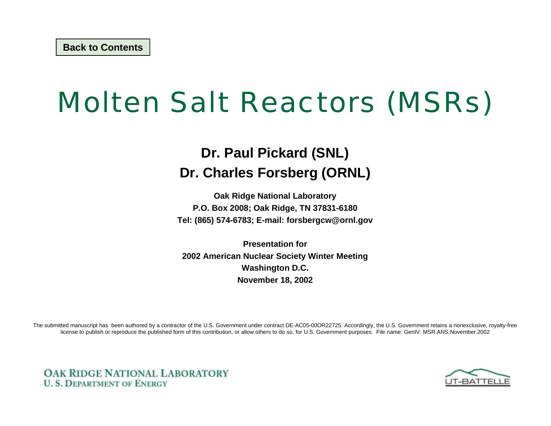# Molten Salt Reactors (MSRs)

#### **Dr. Paul Pickard (SNL) Dr. Charles Forsberg (ORNL)**

**Oak Ridge National Laboratory P.O. Box 2008; Oak Ridge, TN 37831-6180 Tel: (865) 574-6783; E-mail: forsbergcw@ornl.gov**

**Presentation for 2002 American Nuclear Society Winter Meeting Washington D.C. November 18, 2002**

The submitted manuscript has been authored by a contractor of the U.S. Government under contract DE-AC05-00OR22725. Accordingly, the U.S. Government retains a nonexclusive, royalty-free license to publish or reproduce the published form of this contribution, or allow others to do so, for U.S. Government purposes. File name: GenIV: MSR.ANS.November.2002



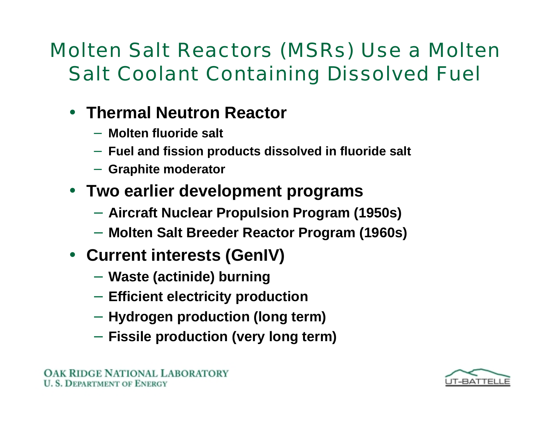### Molten Salt Reactors (MSRs) Use a Molten Salt Coolant Containing Dissolved Fuel

### • **Thermal Neutron Reactor**

- −**Molten fluoride salt**
- − **Fuel and fission products dissolved in fluoride salt**
- **Graphite moderator**
- **Two earlier development programs**
	- **Aircraft Nuclear Propulsion Program (1950s)**
	- **Molten Salt Breeder Reactor Program (1960s)**
- **Current interests (GenIV)**
	- **Waste (actinide) burning**
	- **Efficient electricity production**
	- **Hydrogen production (long term)**
	- **Fissile production (very long term)**

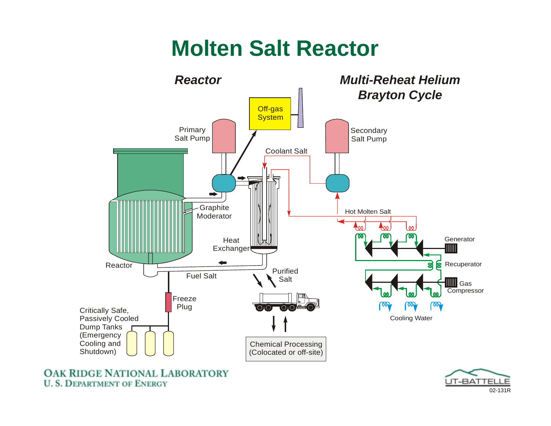## **Molten Salt Reactor**



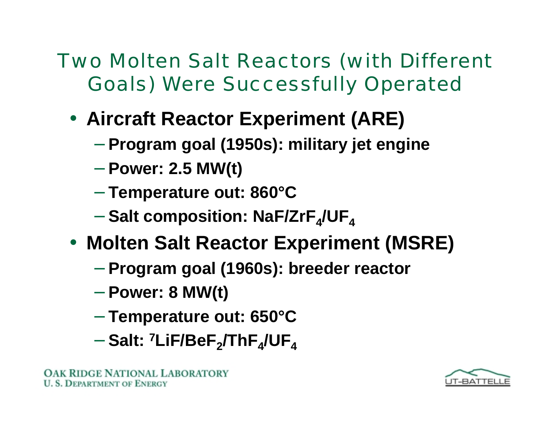Two Molten Salt Reactors (with Different Goals) Were Successfully Operated

- **Aircraft Reactor Experiment (ARE)**
	- **Program goal (1950s): military jet engine**
	- **Power: 2.5 MW(t)**
	- **Temperature out: 860°C**
	- $-$  Salt composition: NaF/ZrF<sub>4</sub>/UF<sub>4</sub>
- **Molten Salt Reactor Experiment (MSRE)**
	- **Program goal (1960s): breeder reactor**
	- **Power: 8 MW(t)**
	- **Temperature out: 650°C**
	- − **Salt: 7LiF/BeF 2/ThF 4/UF 4**

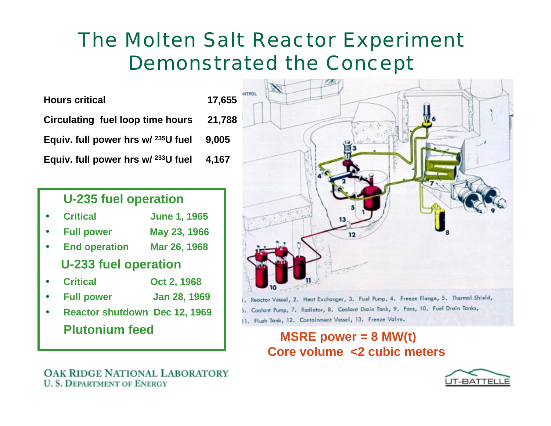### The Molten Salt Reactor Experiment Demonstrated the Concept

**Hours critical 17,655 Circulating fuel loop time hours 21,788 Equiv. full power hrs w/ 235U fuel 9,005 Equiv. full power hrs w/ 233U fuel 4,167**

#### **U-235 fuel operation**

- •**Critical June 1, 1965**
- •**Full power May 23, 1966**
- •**End operation Mar 26, 1968**

#### **U-233 fuel operation**

- •**Critical Oct 2, 1968**
- •**Full power Jan 28, 1969**
- • **Reactor shutdown Dec 12, 1969 Plutonium feed**



11. Flush Tank, 12. Containment Vessel, 13. Freeze Valve.

#### **MSRE power = 8 MW(t) Core volume <2 cubic meters**

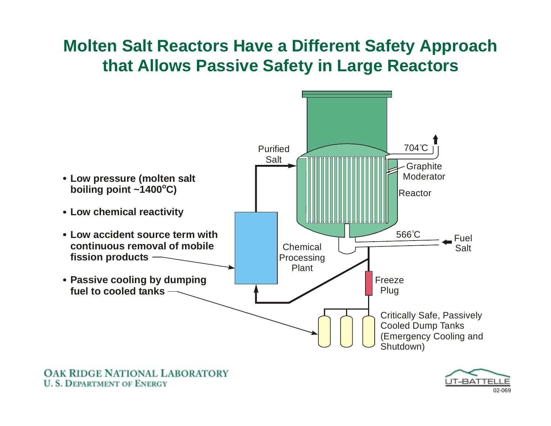#### **Molten Salt Reactors Have a Different Safety Approach that Allows Passive Safety in Large Reactors**



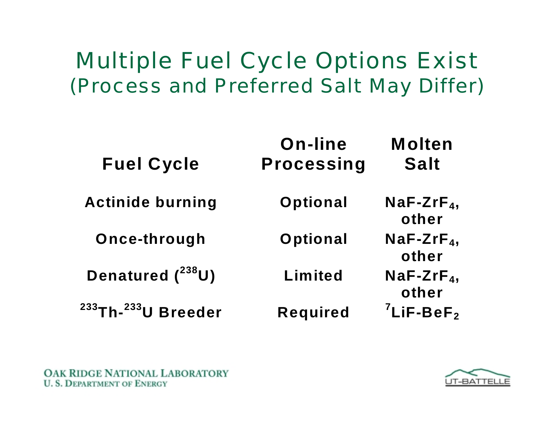## Multiple Fuel Cycle Options Exist (Process and Preferred Salt May Differ)

| <b>Fuel Cycle</b>                           | On-line<br><b>Processing</b> | <b>Molten</b><br><b>Salt</b> |
|---------------------------------------------|------------------------------|------------------------------|
| <b>Actinide burning</b>                     | Optional                     | $NaF-ZrF4$<br>other          |
| Once-through                                | Optional                     | $NaF-ZrF4$<br>other          |
| Denatured $(^{238}U)$                       | Limited                      | $NaF-ZrF4$<br>other          |
| <sup>233</sup> Th- <sup>233</sup> U Breeder | <b>Required</b>              | $7$ LiF-BeF <sub>2</sub>     |

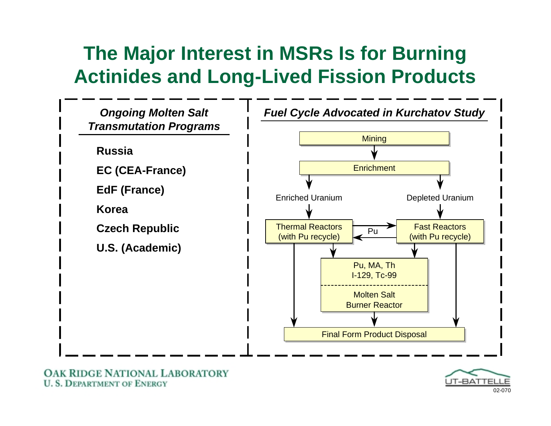### **The Major Interest in MSRs Is for Burning Actinides and Long-Lived Fission Products**



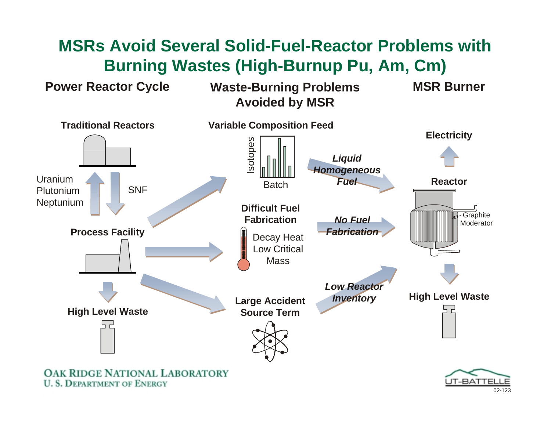### **MSRs Avoid Several Solid-Fuel-Reactor Problems with Burning Wastes (High-Burnup Pu, Am, Cm)**

**Power Reactor Cycle Waste-Burning Problems Avoided by MSR**



**U. S. DEPARTMENT OF ENERGY** 

**MSR Burner**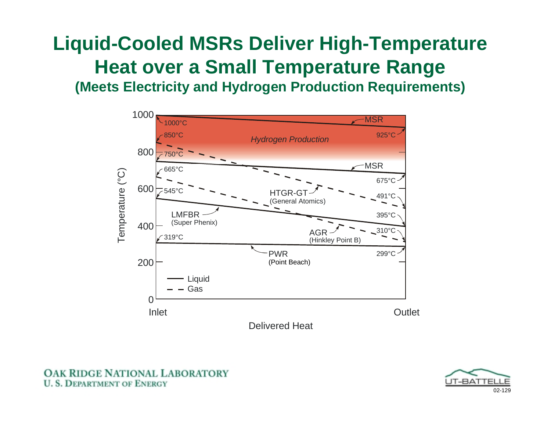### **Liquid-Cooled MSRs Deliver High-Temperature Heat over a Small Temperature Range (Meets Electricity and Hydrogen Production Requirements)**

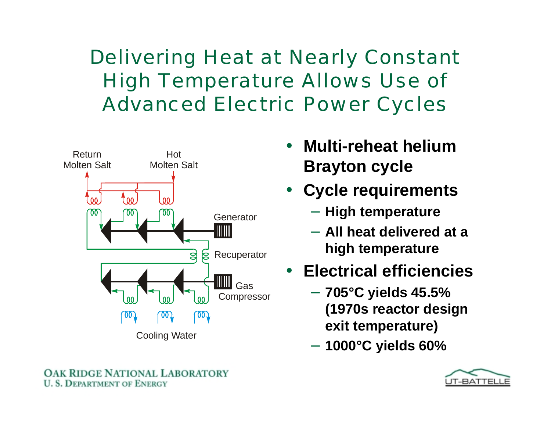Delivering Heat at Nearly Constant High Temperature Allows Use of Advanced Electric Power Cycles



- **Multi-reheat helium Brayton cycle**
- • **Cycle requirements**
	- −**High temperature**
	- − **All heat delivered at a high temperature**
- **Electrical efficiencies**
	- **705°C yields 45.5% (1970s reactor design exit temperature)**
	- **1000°C yields 60%**

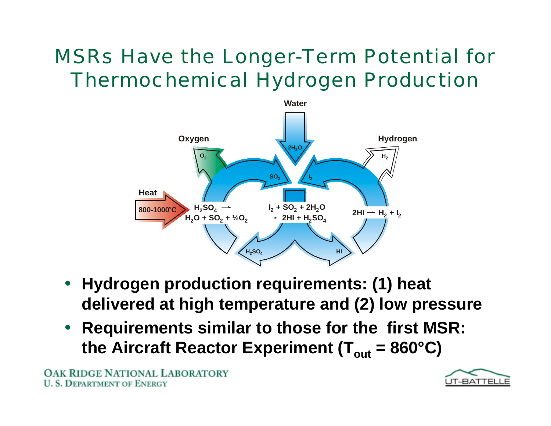### MSRs Have the Longer-Term Potential for Thermochemical Hydrogen Production



- **Hydrogen production requirements: (1) heat delivered at high temperature and (2) low pressure**
- $\bullet$  **Requirements similar to those for the first MSR:** the Aircraft Reactor Experiment (T<sub>out</sub> = 860°C)

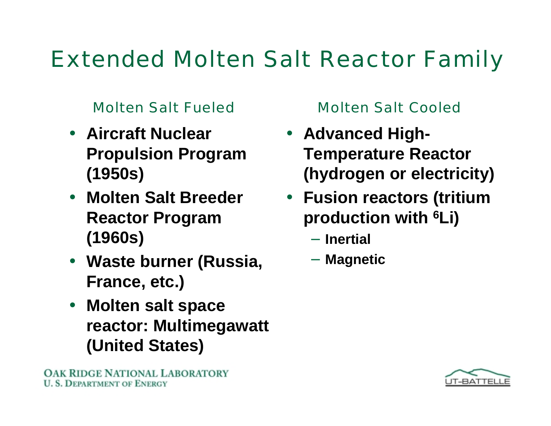# Extended Molten Salt Reactor Family

#### Molten Salt Fueled Molten Salt Cooled

- **Aircraft Nuclear Propulsion Program (1950s)**
- **Molten Salt Breeder Reactor Program (1960s)**
- **Waste burner (Russia, France, etc.)**
- $\bullet$  **Molten salt space reactor: Multimegawatt (United States)**

- **Advanced High-Temperature Reactor (hydrogen or electricity)**
- **Fusion reactors (tritium production with 6Li)**
	- − **Inertial**
	- **Magnetic**

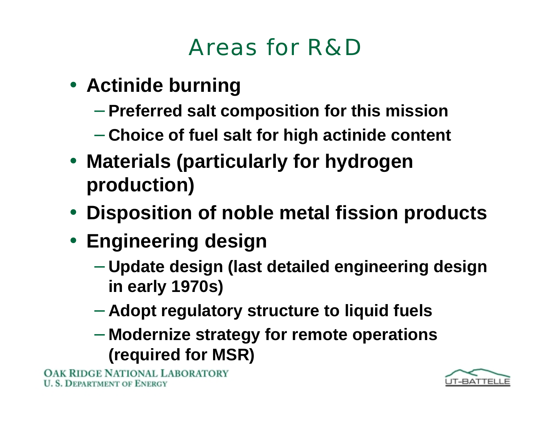## Areas for R&D

- **Actinide burning**
	- **Preferred salt composition for this mission**
	- **Choice of fuel salt for high actinide content**
- **Materials (particularly for hydrogen production)**
- **Disposition of noble metal fission products**
- **Engineering design**
	- **Update design (last detailed engineering design in early 1970s)**
	- **Adopt regulatory structure to liquid fuels**
	- **Modernize strategy for remote operations (required for MSR)**

**IDGE NATIONAL LABORATORY DEPARTMENT OF ENERGY**